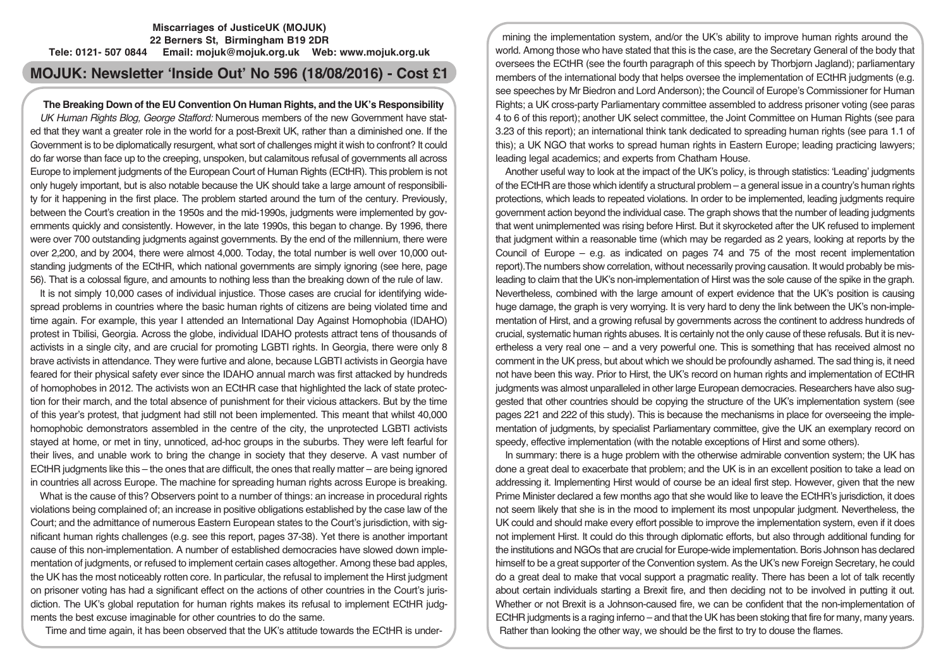# **Miscarriages of JusticeUK (MOJUK) 22 Berners St, Birmingham B19 2DR Tele: 0121- 507 0844 Email: mojuk@mojuk.org.uk Web: www.mojuk.org.uk**

# **MOJUK: Newsletter 'Inside Out' No 596 (18/08/2016) - Cost £1**

# **The Breaking Down of the EU Convention On Human Rights, and the UK's Responsibility**

*UK Human Rights Blog, George Stafford:* Numerous members of the new Government have stated that they want a greater role in the world for a post-Brexit UK, rather than a diminished one. If the Government is to be diplomatically resurgent, what sort of challenges might it wish to confront? It could do far worse than face up to the creeping, unspoken, but calamitous refusal of governments all across Europe to implement judgments of the European Court of Human Rights (ECtHR). This problem is not only hugely important, but is also notable because the UK should take a large amount of responsibility for it happening in the first place. The problem started around the turn of the century. Previously, between the Court's creation in the 1950s and the mid-1990s, judgments were implemented by governments quickly and consistently. However, in the late 1990s, this began to change. By 1996, there were over 700 outstanding judgments against governments. By the end of the millennium, there were over 2,200, and by 2004, there were almost 4,000. Today, the total number is well over 10,000 outstanding judgments of the ECtHR, which national governments are simply ignoring (see here, page 56). That is a colossal figure, and amounts to nothing less than the breaking down of the rule of law.

It is not simply 10,000 cases of individual injustice. Those cases are crucial for identifying widespread problems in countries where the basic human rights of citizens are being violated time and time again. For example, this year I attended an International Day Against Homophobia (IDAHO) protest in Tbilisi, Georgia. Across the globe, individual IDAHO protests attract tens of thousands of activists in a single city, and are crucial for promoting LGBTI rights. In Georgia, there were only 8 brave activists in attendance. They were furtive and alone, because LGBTI activists in Georgia have feared for their physical safety ever since the IDAHO annual march was first attacked by hundreds of homophobes in 2012. The activists won an ECtHR case that highlighted the lack of state protection for their march, and the total absence of punishment for their vicious attackers. But by the time of this year's protest, that judgment had still not been implemented. This meant that whilst 40,000 homophobic demonstrators assembled in the centre of the city, the unprotected LGBTI activists stayed at home, or met in tiny, unnoticed, ad-hoc groups in the suburbs. They were left fearful for their lives, and unable work to bring the change in society that they deserve. A vast number of ECtHR judgments like this – the ones that are difficult, the ones that really matter – are being ignored in countries all across Europe. The machine for spreading human rights across Europe is breaking.

What is the cause of this? Observers point to a number of things: an increase in procedural rights violations being complained of; an increase in positive obligations established by the case law of the Court; and the admittance of numerous Eastern European states to the Court's jurisdiction, with significant human rights challenges (e.g. see this report, pages 37-38). Yet there is another important cause of this non-implementation. A number of established democracies have slowed down implementation of judgments, or refused to implement certain cases altogether. Among these bad apples, the UK has the most noticeably rotten core. In particular, the refusal to implement the Hirst judgment on prisoner voting has had a significant effect on the actions of other countries in the Court's jurisdiction. The UK's global reputation for human rights makes its refusal to implement ECtHR judgments the best excuse imaginable for other countries to do the same.

Time and time again, it has been observed that the UK's attitude towards the ECtHR is under-

mining the implementation system, and/or the UK's ability to improve human rights around the world. Among those who have stated that this is the case, are the Secretary General of the body that oversees the ECtHR (see the fourth paragraph of this speech by Thorbjørn Jagland); parliamentary members of the international body that helps oversee the implementation of ECtHR judgments (e.g. see speeches by Mr Biedron and Lord Anderson); the Council of Europe's Commissioner for Human Rights; a UK cross-party Parliamentary committee assembled to address prisoner voting (see paras 4 to 6 of this report); another UK select committee, the Joint Committee on Human Rights (see para 3.23 of this report); an international think tank dedicated to spreading human rights (see para 1.1 of this); a UK NGO that works to spread human rights in Eastern Europe; leading practicing lawyers; leading legal academics; and experts from Chatham House.

Another useful way to look at the impact of the UK's policy, is through statistics: 'Leading' judgments of the ECtHR are those which identify a structural problem – a general issue in a country's human rights protections, which leads to repeated violations. In order to be implemented, leading judgments require government action beyond the individual case. The graph shows that the number of leading judgments that went unimplemented was rising before Hirst. But it skyrocketed after the UK refused to implement that judgment within a reasonable time (which may be regarded as 2 years, looking at reports by the Council of Europe – e.g. as indicated on pages 74 and 75 of the most recent implementation report).The numbers show correlation, without necessarily proving causation. It would probably be misleading to claim that the UK's non-implementation of Hirst was the sole cause of the spike in the graph. Nevertheless, combined with the large amount of expert evidence that the UK's position is causing huge damage, the graph is very worrying. It is very hard to deny the link between the UK's non-implementation of Hirst, and a growing refusal by governments across the continent to address hundreds of crucial, systematic human rights abuses. It is certainly not the only cause of these refusals. But it is nevertheless a very real one – and a very powerful one. This is something that has received almost no comment in the UK press, but about which we should be profoundly ashamed. The sad thing is, it need not have been this way. Prior to Hirst, the UK's record on human rights and implementation of ECtHR judgments was almost unparalleled in other large European democracies. Researchers have also suggested that other countries should be copying the structure of the UK's implementation system (see pages 221 and 222 of this study). This is because the mechanisms in place for overseeing the implementation of judgments, by specialist Parliamentary committee, give the UK an exemplary record on speedy, effective implementation (with the notable exceptions of Hirst and some others).

In summary: there is a huge problem with the otherwise admirable convention system; the UK has done a great deal to exacerbate that problem; and the UK is in an excellent position to take a lead on addressing it. Implementing Hirst would of course be an ideal first step. However, given that the new Prime Minister declared a few months ago that she would like to leave the ECtHR's jurisdiction, it does not seem likely that she is in the mood to implement its most unpopular judgment. Nevertheless, the UK could and should make every effort possible to improve the implementation system, even if it does not implement Hirst. It could do this through diplomatic efforts, but also through additional funding for the institutions and NGOs that are crucial for Europe-wide implementation. Boris Johnson has declared himself to be a great supporter of the Convention system. As the UK's new Foreign Secretary, he could do a great deal to make that vocal support a pragmatic reality. There has been a lot of talk recently about certain individuals starting a Brexit fire, and then deciding not to be involved in putting it out. Whether or not Brexit is a Johnson-caused fire, we can be confident that the non-implementation of ECtHR judgments is a raging inferno – and that the UK has been stoking that fire for many, many years. Rather than looking the other way, we should be the first to try to douse the flames.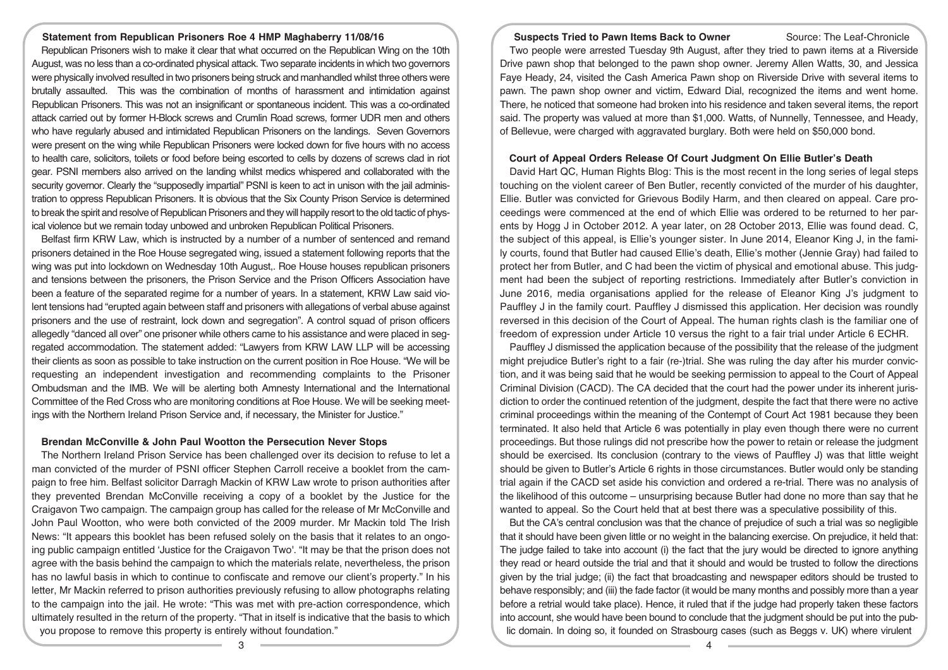#### **Statement from Republican Prisoners Roe 4 HMP Maghaberry 11/08/16**

Republican Prisoners wish to make it clear that what occurred on the Republican Wing on the 10th August, was no less than a co-ordinated physical attack. Two separate incidents in which two governors were physically involved resulted in two prisoners being struck and manhandled whilst three others were brutally assaulted. This was the combination of months of harassment and intimidation against Republican Prisoners. This was not an insignificant or spontaneous incident. This was a co-ordinated attack carried out by former H-Block screws and Crumlin Road screws, former UDR men and others who have regularly abused and intimidated Republican Prisoners on the landings. Seven Governors were present on the wing while Republican Prisoners were locked down for five hours with no access to health care, solicitors, toilets or food before being escorted to cells by dozens of screws clad in riot gear. PSNI members also arrived on the landing whilst medics whispered and collaborated with the security governor. Clearly the "supposedly impartial" PSNI is keen to act in unison with the jail administration to oppress Republican Prisoners. It is obvious that the Six County Prison Service is determined to break the spirit and resolve of Republican Prisoners and they will happily resort to the old tactic of physical violence but we remain today unbowed and unbroken Republican Political Prisoners.

Belfast firm KRW Law, which is instructed by a number of a number of sentenced and remand prisoners detained in the Roe House segregated wing, issued a statement following reports that the wing was put into lockdown on Wednesday 10th August,. Roe House houses republican prisoners and tensions between the prisoners, the Prison Service and the Prison Officers Association have been a feature of the separated regime for a number of years. In a statement, KRW Law said violent tensions had "erupted again between staff and prisoners with allegations of verbal abuse against prisoners and the use of restraint, lock down and segregation". A control squad of prison officers allegedly "danced all over" one prisoner while others came to his assistance and were placed in segregated accommodation. The statement added: "Lawyers from KRW LAW LLP will be accessing their clients as soon as possible to take instruction on the current position in Roe House. "We will be requesting an independent investigation and recommending complaints to the Prisoner Ombudsman and the IMB. We will be alerting both Amnesty International and the International Committee of the Red Cross who are monitoring conditions at Roe House. We will be seeking meetings with the Northern Ireland Prison Service and, if necessary, the Minister for Justice."

## **Brendan McConville & John Paul Wootton the Persecution Never Stops**

The Northern Ireland Prison Service has been challenged over its decision to refuse to let a man convicted of the murder of PSNI officer Stephen Carroll receive a booklet from the campaign to free him. Belfast solicitor Darragh Mackin of KRW Law wrote to prison authorities after they prevented Brendan McConville receiving a copy of a booklet by the Justice for the Craigavon Two campaign. The campaign group has called for the release of Mr McConville and John Paul Wootton, who were both convicted of the 2009 murder. Mr Mackin told The Irish News: "It appears this booklet has been refused solely on the basis that it relates to an ongoing public campaign entitled 'Justice for the Craigavon Two'. "It may be that the prison does not agree with the basis behind the campaign to which the materials relate, nevertheless, the prison has no lawful basis in which to continue to confiscate and remove our client's property." In his letter, Mr Mackin referred to prison authorities previously refusing to allow photographs relating to the campaign into the jail. He wrote: "This was met with pre-action correspondence, which ultimately resulted in the return of the property. "That in itself is indicative that the basis to which you propose to remove this property is entirely without foundation."

## **Suspects Tried to Pawn Items Back to Owner Source:** The Leaf-Chronicle

Two people were arrested Tuesday 9th August, after they tried to pawn items at a Riverside Drive pawn shop that belonged to the pawn shop owner. Jeremy Allen Watts, 30, and Jessica Faye Heady, 24, visited the Cash America Pawn shop on Riverside Drive with several items to pawn. The pawn shop owner and victim, Edward Dial, recognized the items and went home. There, he noticed that someone had broken into his residence and taken several items, the report said. The property was valued at more than \$1,000. Watts, of Nunnelly, Tennessee, and Heady, of Bellevue, were charged with aggravated burglary. Both were held on \$50,000 bond.

#### **Court of Appeal Orders Release Of Court Judgment On Ellie Butler's Death**

David Hart QC, Human Rights Blog: This is the most recent in the long series of legal steps touching on the violent career of Ben Butler, recently convicted of the murder of his daughter, Ellie. Butler was convicted for Grievous Bodily Harm, and then cleared on appeal. Care proceedings were commenced at the end of which Ellie was ordered to be returned to her parents by Hogg J in October 2012. A year later, on 28 October 2013, Ellie was found dead. C, the subject of this appeal, is Ellie's younger sister. In June 2014, Eleanor King J, in the family courts, found that Butler had caused Ellie's death, Ellie's mother (Jennie Gray) had failed to protect her from Butler, and C had been the victim of physical and emotional abuse. This judgment had been the subject of reporting restrictions. Immediately after Butler's conviction in June 2016, media organisations applied for the release of Eleanor King J's judgment to Pauffley J in the family court. Pauffley J dismissed this application. Her decision was roundly reversed in this decision of the Court of Appeal. The human rights clash is the familiar one of freedom of expression under Article 10 versus the right to a fair trial under Article 6 ECHR.

Pauffley J dismissed the application because of the possibility that the release of the judgment might prejudice Butler's right to a fair (re-)trial. She was ruling the day after his murder conviction, and it was being said that he would be seeking permission to appeal to the Court of Appeal Criminal Division (CACD). The CA decided that the court had the power under its inherent jurisdiction to order the continued retention of the judgment, despite the fact that there were no active criminal proceedings within the meaning of the Contempt of Court Act 1981 because they been terminated. It also held that Article 6 was potentially in play even though there were no current proceedings. But those rulings did not prescribe how the power to retain or release the judgment should be exercised. Its conclusion (contrary to the views of Pauffley J) was that little weight should be given to Butler's Article 6 rights in those circumstances. Butler would only be standing trial again if the CACD set aside his conviction and ordered a re-trial. There was no analysis of the likelihood of this outcome – unsurprising because Butler had done no more than say that he wanted to appeal. So the Court held that at best there was a speculative possibility of this.

But the CA's central conclusion was that the chance of prejudice of such a trial was so negligible that it should have been given little or no weight in the balancing exercise. On prejudice, it held that: The judge failed to take into account (i) the fact that the jury would be directed to ignore anything they read or heard outside the trial and that it should and would be trusted to follow the directions given by the trial judge; (ii) the fact that broadcasting and newspaper editors should be trusted to behave responsibly; and (iii) the fade factor (it would be many months and possibly more than a year before a retrial would take place). Hence, it ruled that if the judge had properly taken these factors into account, she would have been bound to conclude that the judgment should be put into the public domain. In doing so, it founded on Strasbourg cases (such as Beggs v. UK) where virulent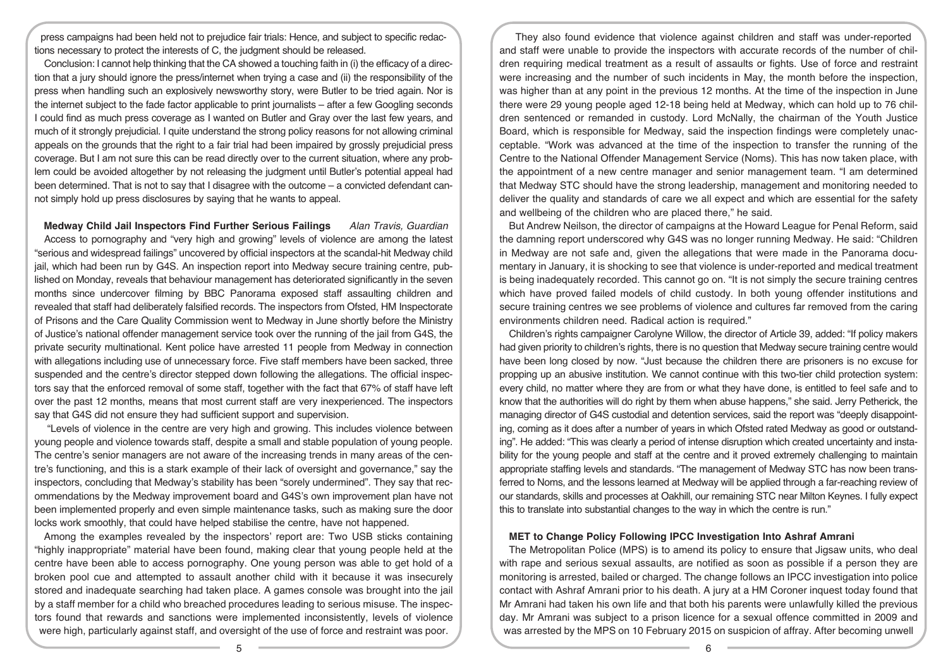press campaigns had been held not to prejudice fair trials: Hence, and subject to specific redactions necessary to protect the interests of C, the judgment should be released.

Conclusion: I cannot help thinking that the CA showed a touching faith in (i) the efficacy of a direction that a jury should ignore the press/internet when trying a case and (ii) the responsibility of the press when handling such an explosively newsworthy story, were Butler to be tried again. Nor is the internet subject to the fade factor applicable to print journalists – after a few Googling seconds I could find as much press coverage as I wanted on Butler and Gray over the last few years, and much of it strongly prejudicial. I quite understand the strong policy reasons for not allowing criminal appeals on the grounds that the right to a fair trial had been impaired by grossly prejudicial press coverage. But I am not sure this can be read directly over to the current situation, where any problem could be avoided altogether by not releasing the judgment until Butler's potential appeal had been determined. That is not to say that I disagree with the outcome – a convicted defendant cannot simply hold up press disclosures by saying that he wants to appeal.

**Medway Child Jail Inspectors Find Further Serious Failings** *Alan Travis, Guardian* Access to pornography and "very high and growing" levels of violence are among the latest "serious and widespread failings" uncovered by official inspectors at the scandal-hit Medway child jail, which had been run by G4S. An inspection report into Medway secure training centre, published on Monday, reveals that behaviour management has deteriorated significantly in the seven months since undercover filming by BBC Panorama exposed staff assaulting children and revealed that staff had deliberately falsified records. The inspectors from Ofsted, HM Inspectorate of Prisons and the Care Quality Commission went to Medway in June shortly before the Ministry of Justice's national offender management service took over the running of the jail from G4S, the private security multinational. Kent police have arrested 11 people from Medway in connection with allegations including use of unnecessary force. Five staff members have been sacked, three suspended and the centre's director stepped down following the allegations. The official inspectors say that the enforced removal of some staff, together with the fact that 67% of staff have left over the past 12 months, means that most current staff are very inexperienced. The inspectors say that G4S did not ensure they had sufficient support and supervision.

"Levels of violence in the centre are very high and growing. This includes violence between young people and violence towards staff, despite a small and stable population of young people. The centre's senior managers are not aware of the increasing trends in many areas of the centre's functioning, and this is a stark example of their lack of oversight and governance," say the inspectors, concluding that Medway's stability has been "sorely undermined". They say that recommendations by the Medway improvement board and G4S's own improvement plan have not been implemented properly and even simple maintenance tasks, such as making sure the door locks work smoothly, that could have helped stabilise the centre, have not happened.

Among the examples revealed by the inspectors' report are: Two USB sticks containing "highly inappropriate" material have been found, making clear that young people held at the centre have been able to access pornography. One young person was able to get hold of a broken pool cue and attempted to assault another child with it because it was insecurely stored and inadequate searching had taken place. A games console was brought into the jail by a staff member for a child who breached procedures leading to serious misuse. The inspectors found that rewards and sanctions were implemented inconsistently, levels of violence were high, particularly against staff, and oversight of the use of force and restraint was poor.

They also found evidence that violence against children and staff was under-reported and staff were unable to provide the inspectors with accurate records of the number of children requiring medical treatment as a result of assaults or fights. Use of force and restraint were increasing and the number of such incidents in May, the month before the inspection, was higher than at any point in the previous 12 months. At the time of the inspection in June there were 29 young people aged 12-18 being held at Medway, which can hold up to 76 children sentenced or remanded in custody. Lord McNally, the chairman of the Youth Justice Board, which is responsible for Medway, said the inspection findings were completely unacceptable. "Work was advanced at the time of the inspection to transfer the running of the Centre to the National Offender Management Service (Noms). This has now taken place, with the appointment of a new centre manager and senior management team. "I am determined that Medway STC should have the strong leadership, management and monitoring needed to deliver the quality and standards of care we all expect and which are essential for the safety and wellbeing of the children who are placed there," he said.

But Andrew Neilson, the director of campaigns at the Howard League for Penal Reform, said the damning report underscored why G4S was no longer running Medway. He said: "Children in Medway are not safe and, given the allegations that were made in the Panorama documentary in January, it is shocking to see that violence is under-reported and medical treatment is being inadequately recorded. This cannot go on. "It is not simply the secure training centres which have proved failed models of child custody. In both young offender institutions and secure training centres we see problems of violence and cultures far removed from the caring environments children need. Radical action is required."

Children's rights campaigner Carolyne Willow, the director of Article 39, added: "If policy makers had given priority to children's rights, there is no question that Medway secure training centre would have been long closed by now. "Just because the children there are prisoners is no excuse for propping up an abusive institution. We cannot continue with this two-tier child protection system: every child, no matter where they are from or what they have done, is entitled to feel safe and to know that the authorities will do right by them when abuse happens," she said. Jerry Petherick, the managing director of G4S custodial and detention services, said the report was "deeply disappointing, coming as it does after a number of years in which Ofsted rated Medway as good or outstanding". He added: "This was clearly a period of intense disruption which created uncertainty and instability for the young people and staff at the centre and it proved extremely challenging to maintain appropriate staffing levels and standards. "The management of Medway STC has now been transferred to Noms, and the lessons learned at Medway will be applied through a far-reaching review of our standards, skills and processes at Oakhill, our remaining STC near Milton Keynes. I fully expect this to translate into substantial changes to the way in which the centre is run."

#### **MET to Change Policy Following IPCC Investigation Into Ashraf Amrani**

The Metropolitan Police (MPS) is to amend its policy to ensure that Jigsaw units, who deal with rape and serious sexual assaults, are notified as soon as possible if a person they are monitoring is arrested, bailed or charged. The change follows an IPCC investigation into police contact with Ashraf Amrani prior to his death. A jury at a HM Coroner inquest today found that Mr Amrani had taken his own life and that both his parents were unlawfully killed the previous day. Mr Amrani was subject to a prison licence for a sexual offence committed in 2009 and was arrested by the MPS on 10 February 2015 on suspicion of affray. After becoming unwell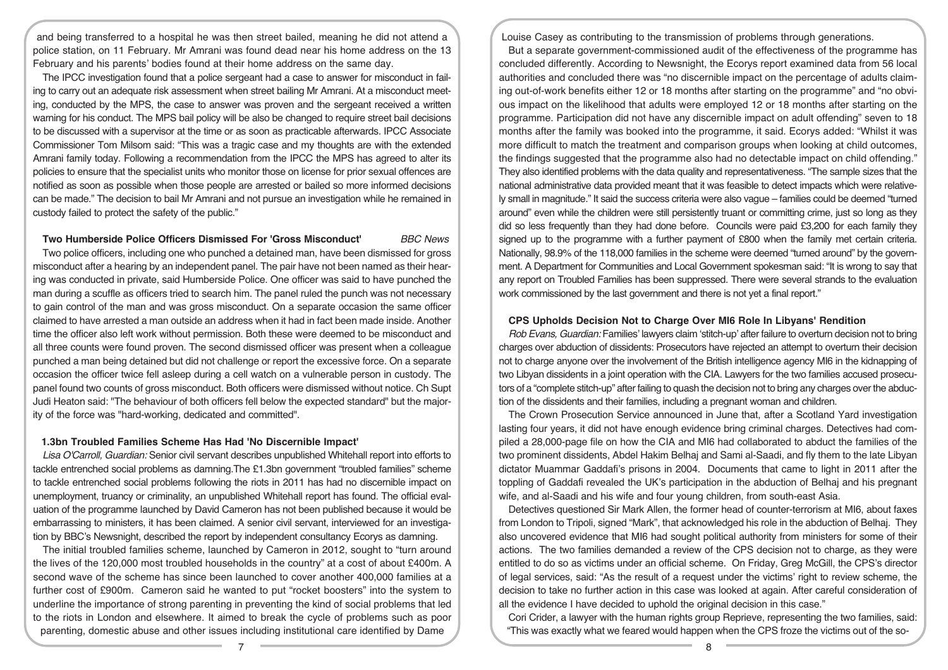and being transferred to a hospital he was then street bailed, meaning he did not attend a police station, on 11 February. Mr Amrani was found dead near his home address on the 13 February and his parents' bodies found at their home address on the same day.

The IPCC investigation found that a police sergeant had a case to answer for misconduct in failing to carry out an adequate risk assessment when street bailing Mr Amrani. At a misconduct meeting, conducted by the MPS, the case to answer was proven and the sergeant received a written warning for his conduct. The MPS bail policy will be also be changed to require street bail decisions to be discussed with a supervisor at the time or as soon as practicable afterwards. IPCC Associate Commissioner Tom Milsom said: "This was a tragic case and my thoughts are with the extended Amrani family today. Following a recommendation from the IPCC the MPS has agreed to alter its policies to ensure that the specialist units who monitor those on license for prior sexual offences are notified as soon as possible when those people are arrested or bailed so more informed decisions can be made." The decision to bail Mr Amrani and not pursue an investigation while he remained in custody failed to protect the safety of the public."

## **Two Humberside Police Officers Dismissed For 'Gross Misconduct'** *BBC News*

Two police officers, including one who punched a detained man, have been dismissed for gross misconduct after a hearing by an independent panel. The pair have not been named as their hearing was conducted in private, said Humberside Police. One officer was said to have punched the man during a scuffle as officers tried to search him. The panel ruled the punch was not necessary to gain control of the man and was gross misconduct. On a separate occasion the same officer claimed to have arrested a man outside an address when it had in fact been made inside. Another time the officer also left work without permission. Both these were deemed to be misconduct and all three counts were found proven. The second dismissed officer was present when a colleague punched a man being detained but did not challenge or report the excessive force. On a separate occasion the officer twice fell asleep during a cell watch on a vulnerable person in custody. The panel found two counts of gross misconduct. Both officers were dismissed without notice. Ch Supt Judi Heaton said: "The behaviour of both officers fell below the expected standard" but the majority of the force was "hard-working, dedicated and committed".

## **1.3bn Troubled Families Scheme Has Had 'No Discernible Impact'**

*Lisa O'Carroll, Guardian:* Senior civil servant describes unpublished Whitehall report into efforts to tackle entrenched social problems as damning.The £1.3bn government "troubled families" scheme to tackle entrenched social problems following the riots in 2011 has had no discernible impact on unemployment, truancy or criminality, an unpublished Whitehall report has found. The official evaluation of the programme launched by David Cameron has not been published because it would be embarrassing to ministers, it has been claimed. A senior civil servant, interviewed for an investigation by BBC's Newsnight, described the report by independent consultancy Ecorys as damning.

The initial troubled families scheme, launched by Cameron in 2012, sought to "turn around the lives of the 120,000 most troubled households in the country" at a cost of about £400m. A second wave of the scheme has since been launched to cover another 400,000 families at a further cost of £900m. Cameron said he wanted to put "rocket boosters" into the system to underline the importance of strong parenting in preventing the kind of social problems that led to the riots in London and elsewhere. It aimed to break the cycle of problems such as poor parenting, domestic abuse and other issues including institutional care identified by Dame

Louise Casey as contributing to the transmission of problems through generations.

But a separate government-commissioned audit of the effectiveness of the programme has concluded differently. According to Newsnight, the Ecorys report examined data from 56 local authorities and concluded there was "no discernible impact on the percentage of adults claiming out-of-work benefits either 12 or 18 months after starting on the programme" and "no obvious impact on the likelihood that adults were employed 12 or 18 months after starting on the programme. Participation did not have any discernible impact on adult offending" seven to 18 months after the family was booked into the programme, it said. Ecorys added: "Whilst it was more difficult to match the treatment and comparison groups when looking at child outcomes, the findings suggested that the programme also had no detectable impact on child offending." They also identified problems with the data quality and representativeness. "The sample sizes that the national administrative data provided meant that it was feasible to detect impacts which were relatively small in magnitude." It said the success criteria were also vague – families could be deemed "turned around" even while the children were still persistently truant or committing crime, just so long as they did so less frequently than they had done before. Councils were paid £3,200 for each family they signed up to the programme with a further payment of £800 when the family met certain criteria. Nationally, 98.9% of the 118,000 families in the scheme were deemed "turned around" by the government. A Department for Communities and Local Government spokesman said: "It is wrong to say that any report on Troubled Families has been suppressed. There were several strands to the evaluation work commissioned by the last government and there is not yet a final report."

#### **CPS Upholds Decision Not to Charge Over MI6 Role In Libyans' Rendition**

*Rob Evans, Guardian:* Families' lawyers claim 'stitch-up' after failure to overturn decision not to bring charges over abduction of dissidents: Prosecutors have rejected an attempt to overturn their decision not to charge anyone over the involvement of the British intelligence agency MI6 in the kidnapping of two Libyan dissidents in a joint operation with the CIA. Lawyers for the two families accused prosecutors of a "complete stitch-up" after failing to quash the decision not to bring any charges over the abduction of the dissidents and their families, including a pregnant woman and children.

The Crown Prosecution Service announced in June that, after a Scotland Yard investigation lasting four years, it did not have enough evidence bring criminal charges. Detectives had compiled a 28,000-page file on how the CIA and MI6 had collaborated to abduct the families of the two prominent dissidents, Abdel Hakim Belhaj and Sami al-Saadi, and fly them to the late Libyan dictator Muammar Gaddafi's prisons in 2004. Documents that came to light in 2011 after the toppling of Gaddafi revealed the UK's participation in the abduction of Belhaj and his pregnant wife, and al-Saadi and his wife and four young children, from south-east Asia.

Detectives questioned Sir Mark Allen, the former head of counter-terrorism at MI6, about faxes from London to Tripoli, signed "Mark", that acknowledged his role in the abduction of Belhaj. They also uncovered evidence that MI6 had sought political authority from ministers for some of their actions. The two families demanded a review of the CPS decision not to charge, as they were entitled to do so as victims under an official scheme. On Friday, Greg McGill, the CPS's director of legal services, said: "As the result of a request under the victims' right to review scheme, the decision to take no further action in this case was looked at again. After careful consideration of all the evidence I have decided to uphold the original decision in this case."

Cori Crider, a lawyer with the human rights group Reprieve, representing the two families, said: "This was exactly what we feared would happen when the CPS froze the victims out of the so-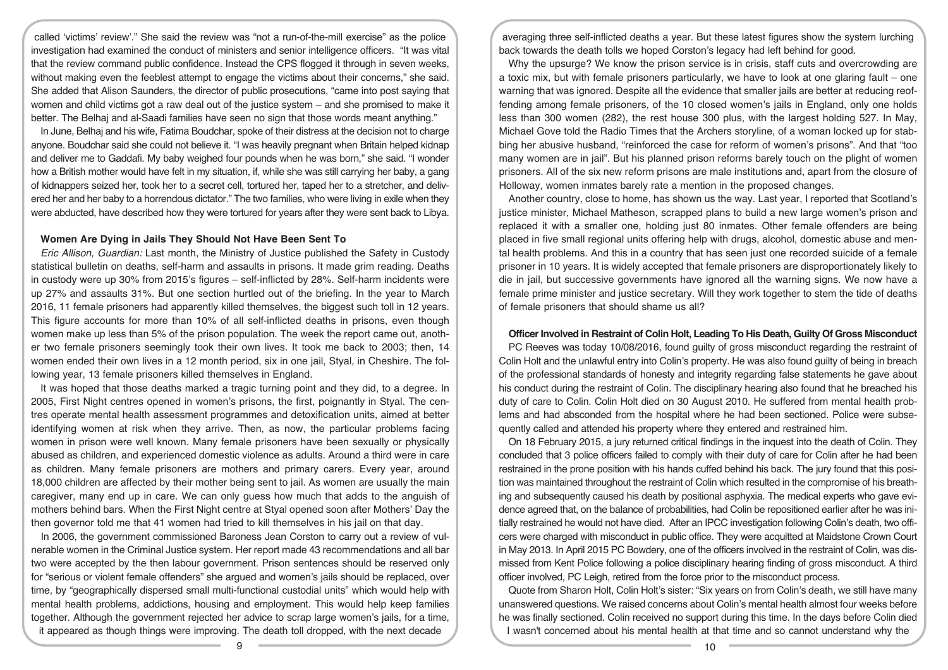called 'victims' review'." She said the review was "not a run-of-the-mill exercise" as the police investigation had examined the conduct of ministers and senior intelligence officers. "It was vital that the review command public confidence. Instead the CPS flogged it through in seven weeks, without making even the feeblest attempt to engage the victims about their concerns," she said. She added that Alison Saunders, the director of public prosecutions, "came into post saying that women and child victims got a raw deal out of the justice system – and she promised to make it better. The Belhaj and al-Saadi families have seen no sign that those words meant anything."

In June, Belhaj and his wife, Fatima Boudchar, spoke of their distress at the decision not to charge anyone. Boudchar said she could not believe it. "I was heavily pregnant when Britain helped kidnap and deliver me to Gaddafi. My baby weighed four pounds when he was born," she said. "I wonder how a British mother would have felt in my situation, if, while she was still carrying her baby, a gang of kidnappers seized her, took her to a secret cell, tortured her, taped her to a stretcher, and delivered her and her baby to a horrendous dictator." The two families, who were living in exile when they were abducted, have described how they were tortured for years after they were sent back to Libya.

#### **Women Are Dying in Jails They Should Not Have Been Sent To**

*Eric Allison, Guardian:* Last month, the Ministry of Justice published the Safety in Custody statistical bulletin on deaths, self-harm and assaults in prisons. It made grim reading. Deaths in custody were up 30% from 2015's figures – self-inflicted by 28%. Self-harm incidents were up 27% and assaults 31%. But one section hurtled out of the briefing. In the year to March 2016, 11 female prisoners had apparently killed themselves, the biggest such toll in 12 years. This figure accounts for more than 10% of all self-inflicted deaths in prisons, even though women make up less than 5% of the prison population. The week the report came out, another two female prisoners seemingly took their own lives. It took me back to 2003; then, 14 women ended their own lives in a 12 month period, six in one jail, Styal, in Cheshire. The following year, 13 female prisoners killed themselves in England.

It was hoped that those deaths marked a tragic turning point and they did, to a degree. In 2005, First Night centres opened in women's prisons, the first, poignantly in Styal. The centres operate mental health assessment programmes and detoxification units, aimed at better identifying women at risk when they arrive. Then, as now, the particular problems facing women in prison were well known. Many female prisoners have been sexually or physically abused as children, and experienced domestic violence as adults. Around a third were in care as children. Many female prisoners are mothers and primary carers. Every year, around 18,000 children are affected by their mother being sent to jail. As women are usually the main caregiver, many end up in care. We can only guess how much that adds to the anguish of mothers behind bars. When the First Night centre at Styal opened soon after Mothers' Day the then governor told me that 41 women had tried to kill themselves in his jail on that day.

In 2006, the government commissioned Baroness Jean Corston to carry out a review of vulnerable women in the Criminal Justice system. Her report made 43 recommendations and all bar two were accepted by the then labour government. Prison sentences should be reserved only for "serious or violent female offenders" she argued and women's jails should be replaced, over time, by "geographically dispersed small multi-functional custodial units" which would help with mental health problems, addictions, housing and employment. This would help keep families together. Although the government rejected her advice to scrap large women's jails, for a time, it appeared as though things were improving. The death toll dropped, with the next decade

averaging three self-inflicted deaths a year. But these latest figures show the system lurching back towards the death tolls we hoped Corston's legacy had left behind for good.

Why the upsurge? We know the prison service is in crisis, staff cuts and overcrowding are a toxic mix, but with female prisoners particularly, we have to look at one glaring fault – one warning that was ignored. Despite all the evidence that smaller jails are better at reducing reoffending among female prisoners, of the 10 closed women's jails in England, only one holds less than 300 women (282), the rest house 300 plus, with the largest holding 527. In May, Michael Gove told the Radio Times that the Archers storyline, of a woman locked up for stabbing her abusive husband, "reinforced the case for reform of women's prisons". And that "too many women are in jail". But his planned prison reforms barely touch on the plight of women prisoners. All of the six new reform prisons are male institutions and, apart from the closure of Holloway, women inmates barely rate a mention in the proposed changes.

Another country, close to home, has shown us the way. Last year, I reported that Scotland's justice minister, Michael Matheson, scrapped plans to build a new large women's prison and replaced it with a smaller one, holding just 80 inmates. Other female offenders are being placed in five small regional units offering help with drugs, alcohol, domestic abuse and mental health problems. And this in a country that has seen just one recorded suicide of a female prisoner in 10 years. It is widely accepted that female prisoners are disproportionately likely to die in jail, but successive governments have ignored all the warning signs. We now have a female prime minister and justice secretary. Will they work together to stem the tide of deaths of female prisoners that should shame us all?

## **Officer Involved in Restraint of Colin Holt, Leading To His Death, Guilty Of Gross Misconduct**

PC Reeves was today 10/08/2016, found guilty of gross misconduct regarding the restraint of Colin Holt and the unlawful entry into Colin's property. He was also found guilty of being in breach of the professional standards of honesty and integrity regarding false statements he gave about his conduct during the restraint of Colin. The disciplinary hearing also found that he breached his duty of care to Colin. Colin Holt died on 30 August 2010. He suffered from mental health problems and had absconded from the hospital where he had been sectioned. Police were subsequently called and attended his property where they entered and restrained him.

On 18 February 2015, a jury returned critical findings in the inquest into the death of Colin. They concluded that 3 police officers failed to comply with their duty of care for Colin after he had been restrained in the prone position with his hands cuffed behind his back. The jury found that this position was maintained throughout the restraint of Colin which resulted in the compromise of his breathing and subsequently caused his death by positional asphyxia. The medical experts who gave evidence agreed that, on the balance of probabilities, had Colin be repositioned earlier after he was initially restrained he would not have died. After an IPCC investigation following Colin's death, two officers were charged with misconduct in public office. They were acquitted at Maidstone Crown Court in May 2013. In April 2015 PC Bowdery, one of the officers involved in the restraint of Colin, was dismissed from Kent Police following a police disciplinary hearing finding of gross misconduct. A third officer involved, PC Leigh, retired from the force prior to the misconduct process.

Quote from Sharon Holt, Colin Holt's sister: "Six years on from Colin's death, we still have many unanswered questions. We raised concerns about Colin's mental health almost four weeks before he was finally sectioned. Colin received no support during this time. In the days before Colin died I wasn't concerned about his mental health at that time and so cannot understand why the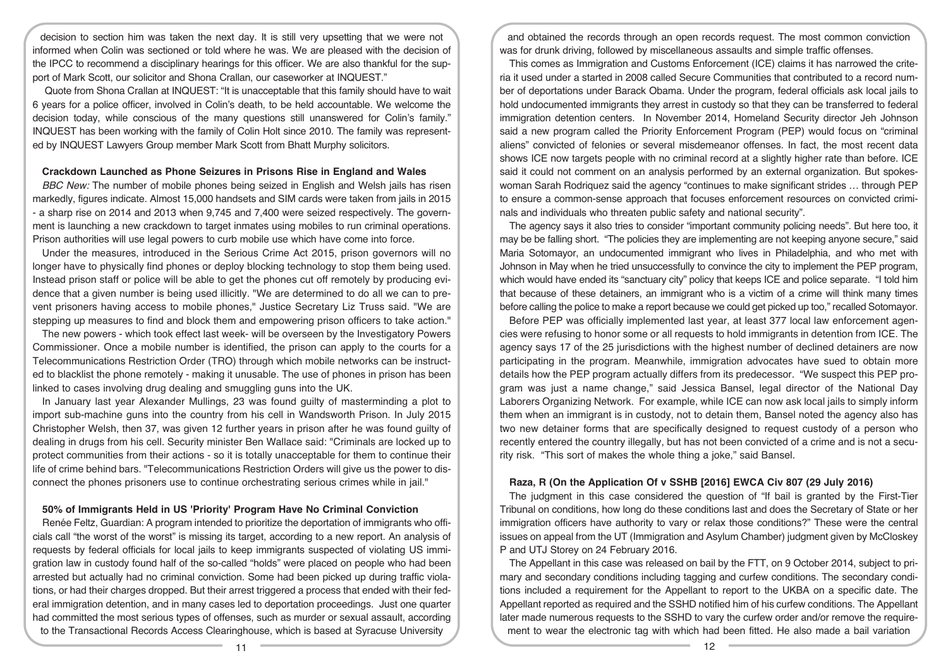decision to section him was taken the next day. It is still very upsetting that we were not informed when Colin was sectioned or told where he was. We are pleased with the decision of the IPCC to recommend a disciplinary hearings for this officer. We are also thankful for the support of Mark Scott, our solicitor and Shona Crallan, our caseworker at INQUEST."

Quote from Shona Crallan at INQUEST: "It is unacceptable that this family should have to wait 6 years for a police officer, involved in Colin's death, to be held accountable. We welcome the decision today, while conscious of the many questions still unanswered for Colin's family." INQUEST has been working with the family of Colin Holt since 2010. The family was represented by INQUEST Lawyers Group member Mark Scott from Bhatt Murphy solicitors.

#### **Crackdown Launched as Phone Seizures in Prisons Rise in England and Wales**

*BBC New:* The number of mobile phones being seized in English and Welsh jails has risen markedly, figures indicate. Almost 15,000 handsets and SIM cards were taken from jails in 2015 - a sharp rise on 2014 and 2013 when 9,745 and 7,400 were seized respectively. The government is launching a new crackdown to target inmates using mobiles to run criminal operations. Prison authorities will use legal powers to curb mobile use which have come into force.

Under the measures, introduced in the Serious Crime Act 2015, prison governors will no longer have to physically find phones or deploy blocking technology to stop them being used. Instead prison staff or police will be able to get the phones cut off remotely by producing evidence that a given number is being used illicitly. "We are determined to do all we can to prevent prisoners having access to mobile phones," Justice Secretary Liz Truss said. "We are stepping up measures to find and block them and empowering prison officers to take action."

The new powers - which took effect last week- will be overseen by the Investigatory Powers Commissioner. Once a mobile number is identified, the prison can apply to the courts for a Telecommunications Restriction Order (TRO) through which mobile networks can be instructed to blacklist the phone remotely - making it unusable. The use of phones in prison has been linked to cases involving drug dealing and smuggling guns into the UK.

In January last year Alexander Mullings, 23 was found guilty of masterminding a plot to import sub-machine guns into the country from his cell in Wandsworth Prison. In July 2015 Christopher Welsh, then 37, was given 12 further years in prison after he was found guilty of dealing in drugs from his cell. Security minister Ben Wallace said: "Criminals are locked up to protect communities from their actions - so it is totally unacceptable for them to continue their life of crime behind bars. "Telecommunications Restriction Orders will give us the power to disconnect the phones prisoners use to continue orchestrating serious crimes while in jail."

#### **50% of Immigrants Held in US 'Priority' Program Have No Criminal Conviction**

Renée Feltz, Guardian: A program intended to prioritize the deportation of immigrants who officials call "the worst of the worst" is missing its target, according to a new report. An analysis of requests by federal officials for local jails to keep immigrants suspected of violating US immigration law in custody found half of the so-called "holds" were placed on people who had been arrested but actually had no criminal conviction. Some had been picked up during traffic violations, or had their charges dropped. But their arrest triggered a process that ended with their federal immigration detention, and in many cases led to deportation proceedings. Just one quarter had committed the most serious types of offenses, such as murder or sexual assault, according to the Transactional Records Access Clearinghouse, which is based at Syracuse University

and obtained the records through an open records request. The most common conviction was for drunk driving, followed by miscellaneous assaults and simple traffic offenses.

This comes as Immigration and Customs Enforcement (ICE) claims it has narrowed the criteria it used under a started in 2008 called Secure Communities that contributed to a record number of deportations under Barack Obama. Under the program, federal officials ask local jails to hold undocumented immigrants they arrest in custody so that they can be transferred to federal immigration detention centers. In November 2014, Homeland Security director Jeh Johnson said a new program called the Priority Enforcement Program (PEP) would focus on "criminal aliens" convicted of felonies or several misdemeanor offenses. In fact, the most recent data shows ICE now targets people with no criminal record at a slightly higher rate than before. ICE said it could not comment on an analysis performed by an external organization. But spokeswoman Sarah Rodriquez said the agency "continues to make significant strides … through PEP to ensure a common-sense approach that focuses enforcement resources on convicted criminals and individuals who threaten public safety and national security".

The agency says it also tries to consider "important community policing needs". But here too, it may be be falling short. "The policies they are implementing are not keeping anyone secure," said Maria Sotomayor, an undocumented immigrant who lives in Philadelphia, and who met with Johnson in May when he tried unsuccessfully to convince the city to implement the PEP program, which would have ended its "sanctuary city" policy that keeps ICE and police separate. "I told him that because of these detainers, an immigrant who is a victim of a crime will think many times before calling the police to make a report because we could get picked up too," recalled Sotomayor.

Before PEP was officially implemented last year, at least 377 local law enforcement agencies were refusing to honor some or all requests to hold immigrants in detention from ICE. The agency says 17 of the 25 jurisdictions with the highest number of declined detainers are now participating in the program. Meanwhile, immigration advocates have sued to obtain more details how the PEP program actually differs from its predecessor. "We suspect this PEP program was just a name change," said Jessica Bansel, legal director of the National Day Laborers Organizing Network. For example, while ICE can now ask local jails to simply inform them when an immigrant is in custody, not to detain them, Bansel noted the agency also has two new detainer forms that are specifically designed to request custody of a person who recently entered the country illegally, but has not been convicted of a crime and is not a security risk. "This sort of makes the whole thing a joke," said Bansel.

#### **Raza, R (On the Application Of v SSHB [2016] EWCA Civ 807 (29 July 2016)**

The judgment in this case considered the question of "If bail is granted by the First-Tier Tribunal on conditions, how long do these conditions last and does the Secretary of State or her immigration officers have authority to vary or relax those conditions?" These were the central issues on appeal from the UT (Immigration and Asylum Chamber) judgment given by McCloskey P and UTJ Storey on 24 February 2016.

The Appellant in this case was released on bail by the FTT, on 9 October 2014, subject to primary and secondary conditions including tagging and curfew conditions. The secondary conditions included a requirement for the Appellant to report to the UKBA on a specific date. The Appellant reported as required and the SSHD notified him of his curfew conditions. The Appellant later made numerous requests to the SSHD to vary the curfew order and/or remove the requirement to wear the electronic tag with which had been fitted. He also made a bail variation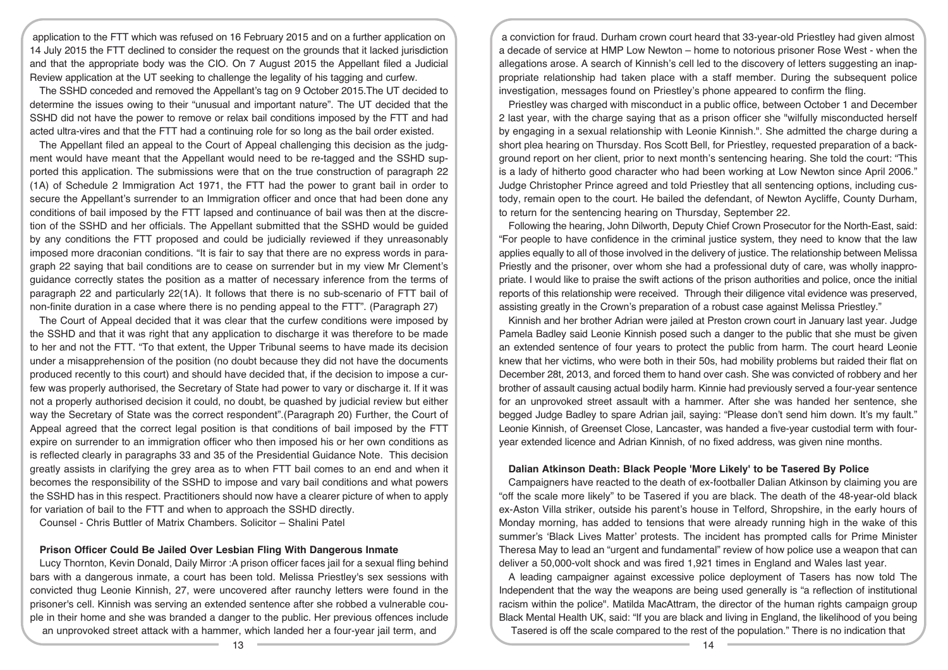application to the FTT which was refused on 16 February 2015 and on a further application on 14 July 2015 the FTT declined to consider the request on the grounds that it lacked jurisdiction and that the appropriate body was the CIO. On 7 August 2015 the Appellant filed a Judicial Review application at the UT seeking to challenge the legality of his tagging and curfew.

The SSHD conceded and removed the Appellant's tag on 9 October 2015.The UT decided to determine the issues owing to their "unusual and important nature". The UT decided that the SSHD did not have the power to remove or relax bail conditions imposed by the FTT and had acted ultra-vires and that the FTT had a continuing role for so long as the bail order existed.

The Appellant filed an appeal to the Court of Appeal challenging this decision as the judgment would have meant that the Appellant would need to be re-tagged and the SSHD supported this application. The submissions were that on the true construction of paragraph 22 (1A) of Schedule 2 Immigration Act 1971, the FTT had the power to grant bail in order to secure the Appellant's surrender to an Immigration officer and once that had been done any conditions of bail imposed by the FTT lapsed and continuance of bail was then at the discretion of the SSHD and her officials. The Appellant submitted that the SSHD would be guided by any conditions the FTT proposed and could be judicially reviewed if they unreasonably imposed more draconian conditions. "It is fair to say that there are no express words in paragraph 22 saying that bail conditions are to cease on surrender but in my view Mr Clement's guidance correctly states the position as a matter of necessary inference from the terms of paragraph 22 and particularly 22(1A). It follows that there is no sub-scenario of FTT bail of non-finite duration in a case where there is no pending appeal to the FTT". (Paragraph 27)

The Court of Appeal decided that it was clear that the curfew conditions were imposed by the SSHD and that it was right that any application to discharge it was therefore to be made to her and not the FTT. "To that extent, the Upper Tribunal seems to have made its decision under a misapprehension of the position (no doubt because they did not have the documents produced recently to this court) and should have decided that, if the decision to impose a curfew was properly authorised, the Secretary of State had power to vary or discharge it. If it was not a properly authorised decision it could, no doubt, be quashed by judicial review but either way the Secretary of State was the correct respondent".(Paragraph 20) Further, the Court of Appeal agreed that the correct legal position is that conditions of bail imposed by the FTT expire on surrender to an immigration officer who then imposed his or her own conditions as is reflected clearly in paragraphs 33 and 35 of the Presidential Guidance Note. This decision greatly assists in clarifying the grey area as to when FTT bail comes to an end and when it becomes the responsibility of the SSHD to impose and vary bail conditions and what powers the SSHD has in this respect. Practitioners should now have a clearer picture of when to apply for variation of bail to the FTT and when to approach the SSHD directly.

Counsel - Chris Buttler of Matrix Chambers. Solicitor – Shalini Patel

# **Prison Officer Could Be Jailed Over Lesbian Fling With Dangerous Inmate**

Lucy Thornton, Kevin Donald, Daily Mirror :A prison officer faces jail for a sexual fling behind bars with a dangerous inmate, a court has been told. Melissa Priestley's sex sessions with convicted thug Leonie Kinnish, 27, were uncovered after raunchy letters were found in the prisoner's cell. Kinnish was serving an extended sentence after she robbed a vulnerable couple in their home and she was branded a danger to the public. Her previous offences include an unprovoked street attack with a hammer, which landed her a four-year jail term, and

a conviction for fraud. Durham crown court heard that 33-year-old Priestley had given almost a decade of service at HMP Low Newton – home to notorious prisoner Rose West - when the allegations arose. A search of Kinnish's cell led to the discovery of letters suggesting an inappropriate relationship had taken place with a staff member. During the subsequent police investigation, messages found on Priestley's phone appeared to confirm the fling.

Priestley was charged with misconduct in a public office, between October 1 and December 2 last year, with the charge saying that as a prison officer she "wilfully misconducted herself by engaging in a sexual relationship with Leonie Kinnish.". She admitted the charge during a short plea hearing on Thursday. Ros Scott Bell, for Priestley, requested preparation of a background report on her client, prior to next month's sentencing hearing. She told the court: "This is a lady of hitherto good character who had been working at Low Newton since April 2006." Judge Christopher Prince agreed and told Priestley that all sentencing options, including custody, remain open to the court. He bailed the defendant, of Newton Aycliffe, County Durham, to return for the sentencing hearing on Thursday, September 22.

Following the hearing, John Dilworth, Deputy Chief Crown Prosecutor for the North-East, said: "For people to have confidence in the criminal justice system, they need to know that the law applies equally to all of those involved in the delivery of justice. The relationship between Melissa Priestly and the prisoner, over whom she had a professional duty of care, was wholly inappropriate. I would like to praise the swift actions of the prison authorities and police, once the initial reports of this relationship were received. Through their diligence vital evidence was preserved, assisting greatly in the Crown's preparation of a robust case against Melissa Priestley."

Kinnish and her brother Adrian were jailed at Preston crown court in January last year. Judge Pamela Badley said Leonie Kinnish posed such a danger to the public that she must be given an extended sentence of four years to protect the public from harm. The court heard Leonie knew that her victims, who were both in their 50s, had mobility problems but raided their flat on December 28t, 2013, and forced them to hand over cash. She was convicted of robbery and her brother of assault causing actual bodily harm. Kinnie had previously served a four-year sentence for an unprovoked street assault with a hammer. After she was handed her sentence, she begged Judge Badley to spare Adrian jail, saying: "Please don't send him down. It's my fault." Leonie Kinnish, of Greenset Close, Lancaster, was handed a five-year custodial term with fouryear extended licence and Adrian Kinnish, of no fixed address, was given nine months.

#### **Dalian Atkinson Death: Black People 'More Likely' to be Tasered By Police**

Campaigners have reacted to the death of ex-footballer Dalian Atkinson by claiming you are "off the scale more likely" to be Tasered if you are black. The death of the 48-year-old black ex-Aston Villa striker, outside his parent's house in Telford, Shropshire, in the early hours of Monday morning, has added to tensions that were already running high in the wake of this summer's 'Black Lives Matter' protests. The incident has prompted calls for Prime Minister Theresa May to lead an "urgent and fundamental" review of how police use a weapon that can deliver a 50,000-volt shock and was fired 1,921 times in England and Wales last year.

A leading campaigner against excessive police deployment of Tasers has now told The Independent that the way the weapons are being used generally is "a reflection of institutional racism within the police". Matilda MacAttram, the director of the human rights campaign group Black Mental Health UK, said: "If you are black and living in England, the likelihood of you being Tasered is off the scale compared to the rest of the population." There is no indication that